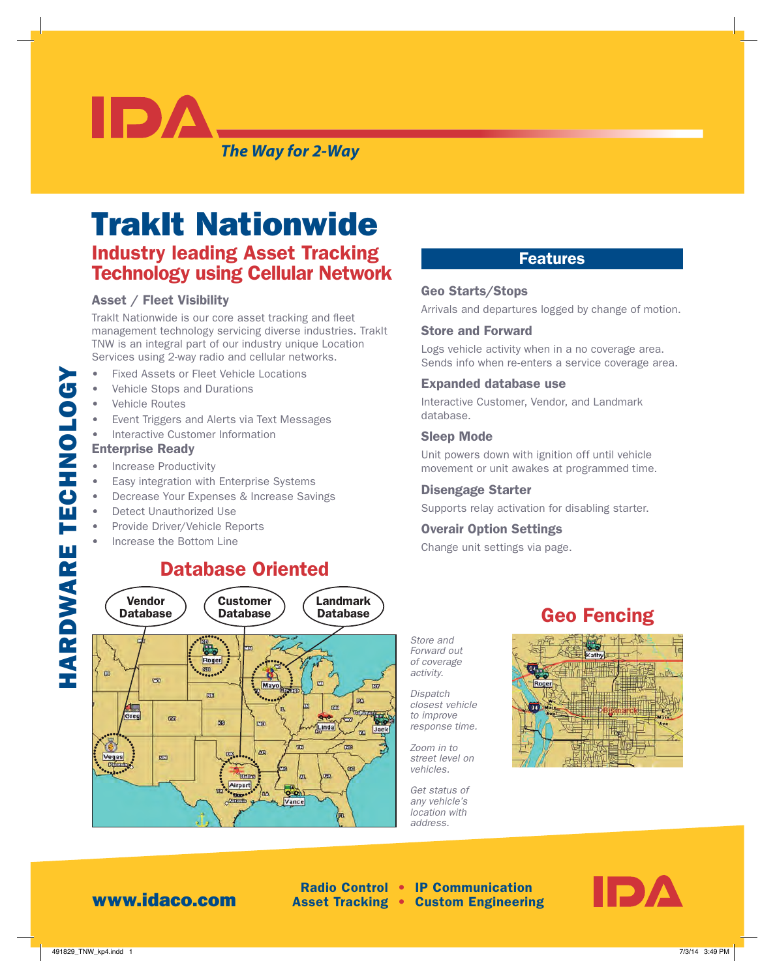*The Way for 2-Way*

# TrakIt Nationwide Industry leading Asset Tracking Technology using Cellular Network

#### Asset / Fleet Visibility

IDA

TrakIt Nationwide is our core asset tracking and fleet management technology servicing diverse industries. TrakIt TNW is an integral part of our industry unique Location Services using 2-way radio and cellular networks.

- Fixed Assets or Fleet Vehicle Locations
- Vehicle Stops and Durations
- Vehicle Routes
- Event Triggers and Alerts via Text Messages
- Interactive Customer Information

#### Enterprise Ready

HARDWARE TECHNOLOGY

HARDWARE TECHNOLOGY

- Increase Productivity
- Easy integration with Enterprise Systems
- Decrease Your Expenses & Increase Savings
- Detect Unauthorized Use
- Provide Driver/Vehicle Reports
- Increase the Bottom Line

## Database Oriented



### Features

#### Geo Starts/Stops

Arrivals and departures logged by change of motion.

#### Store and Forward

Logs vehicle activity when in a no coverage area. Sends info when re-enters a service coverage area.

#### Expanded database use

Interactive Customer, Vendor, and Landmark database.

#### Sleep Mode

Unit powers down with ignition off until vehicle movement or unit awakes at programmed time.

#### Disengage Starter

Supports relay activation for disabling starter.

#### Overair Option Settings

Change unit settings via page.

## Geo Fencing

*Store and Forward out of coverage activity.*

*Dispatch closest vehicle to improve response time.*

*Zoom in to street level on vehicles.*

*Get status of any vehicle's location with address.*



## www.idaco.com

 Radio Control • IP Communication Asset Tracking • Custom Engineering